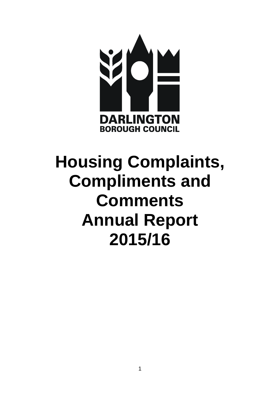

# **Housing Complaints, Compliments and Comments Annual Report 2015/16**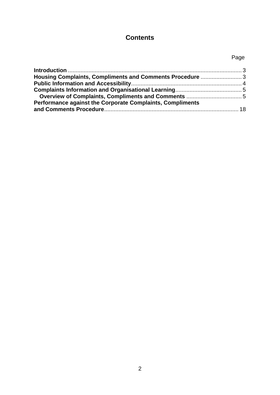# **Contents**

# Page

| Housing Complaints, Compliments and Comments Procedure  3 |  |
|-----------------------------------------------------------|--|
|                                                           |  |
|                                                           |  |
|                                                           |  |
| Performance against the Corporate Complaints, Compliments |  |
|                                                           |  |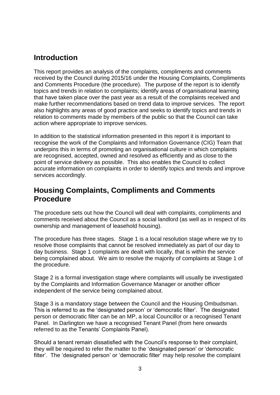# <span id="page-2-0"></span>**Introduction**

This report provides an analysis of the complaints, compliments and comments received by the Council during 2015/16 under the Housing Complaints, Compliments and Comments Procedure (the procedure). The purpose of the report is to identify topics and trends in relation to complaints; identify areas of organisational learning that have taken place over the past year as a result of the complaints received and make further recommendations based on trend data to improve services. The report also highlights any areas of good practice and seeks to identify topics and trends in relation to comments made by members of the public so that the Council can take action where appropriate to improve services.

In addition to the statistical information presented in this report it is important to recognise the work of the Complaints and Information Governance (CIG) Team that underpins this in terms of promoting an organisational culture in which complaints are recognised, accepted, owned and resolved as efficiently and as close to the point of service delivery as possible. This also enables the Council to collect accurate information on complaints in order to identify topics and trends and improve services accordingly.

# <span id="page-2-1"></span>**Housing Complaints, Compliments and Comments Procedure**

The procedure sets out how the Council will deal with complaints, compliments and comments received about the Council as a social landlord (as well as in respect of its ownership and management of leasehold housing).

The procedure has three stages. Stage 1 is a local resolution stage where we try to resolve those complaints that cannot be resolved immediately as part of our day to day business. Stage 1 complaints are dealt with locally, that is within the service being complained about. We aim to resolve the majority of complaints at Stage 1 of the procedure.

Stage 2 is a formal investigation stage where complaints will usually be investigated by the Complaints and Information Governance Manager or another officer independent of the service being complained about.

Stage 3 is a mandatory stage between the Council and the Housing Ombudsman. This is referred to as the 'designated person' or 'democratic filter'. The designated person or democratic filter can be an MP, a local Councillor or a recognised Tenant Panel. In Darlington we have a recognised Tenant Panel (from here onwards referred to as the Tenants' Complaints Panel).

Should a tenant remain dissatisfied with the Council's response to their complaint, they will be required to refer the matter to the 'designated person' or 'democratic filter'. The 'designated person' or 'democratic filter' may help resolve the complaint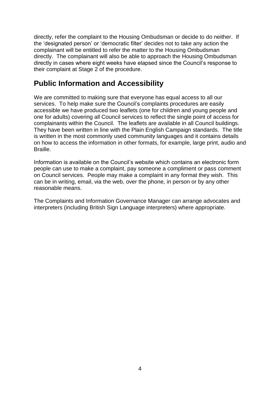directly, refer the complaint to the Housing Ombudsman or decide to do neither. If the 'designated person' or 'democratic filter' decides not to take any action the complainant will be entitled to refer the matter to the Housing Ombudsman directly. The complainant will also be able to approach the Housing Ombudsman directly in cases where eight weeks have elapsed since the Council's response to their complaint at Stage 2 of the procedure.

# <span id="page-3-0"></span>**Public Information and Accessibility**

We are committed to making sure that everyone has equal access to all our services. To help make sure the Council's complaints procedures are easily accessible we have produced two leaflets (one for children and young people and one for adults) covering all Council services to reflect the single point of access for complainants within the Council. The leaflets are available in all Council buildings. They have been written in line with the Plain English Campaign standards. The title is written in the most commonly used community languages and it contains details on how to access the information in other formats, for example, large print, audio and Braille.

Information is available on the Council's website which contains an electronic form people can use to make a complaint, pay someone a compliment or pass comment on Council services. People may make a complaint in any format they wish. This can be in writing, email, via the web, over the phone, in person or by any other reasonable means.

The Complaints and Information Governance Manager can arrange advocates and interpreters (including British Sign Language interpreters) where appropriate.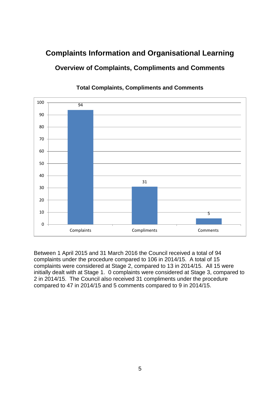# <span id="page-4-1"></span><span id="page-4-0"></span>**Complaints Information and Organisational Learning Overview of Complaints, Compliments and Comments**



### **Total Complaints, Compliments and Comments**

Between 1 April 2015 and 31 March 2016 the Council received a total of 94 complaints under the procedure compared to 106 in 2014/15. A total of 15 complaints were considered at Stage 2, compared to 13 in 2014/15. All 15 were initially dealt with at Stage 1. 0 complaints were considered at Stage 3, compared to 2 in 2014/15. The Council also received 31 compliments under the procedure compared to 47 in 2014/15 and 5 comments compared to 9 in 2014/15.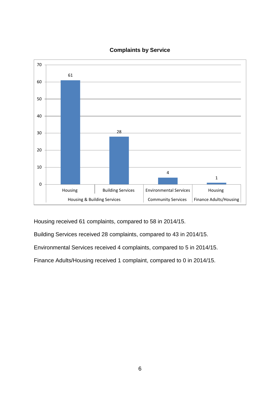

# **Complaints by Service**

Housing received 61 complaints, compared to 58 in 2014/15.

Building Services received 28 complaints, compared to 43 in 2014/15.

Environmental Services received 4 complaints, compared to 5 in 2014/15.

Finance Adults/Housing received 1 complaint, compared to 0 in 2014/15.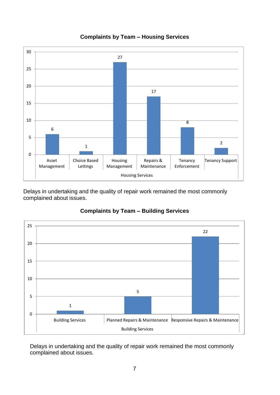

#### **Complaints by Team – Housing Services**

Delays in undertaking and the quality of repair work remained the most commonly complained about issues.



# **Complaints by Team – Building Services**

Delays in undertaking and the quality of repair work remained the most commonly complained about issues.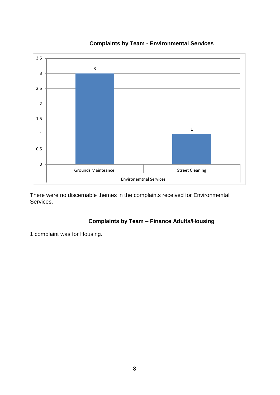

#### **Complaints by Team - Environmental Services**

There were no discernable themes in the complaints received for Environmental Services.

# **Complaints by Team – Finance Adults/Housing**

1 complaint was for Housing.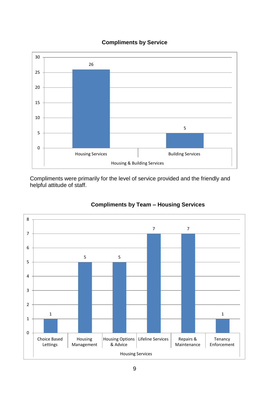



Compliments were primarily for the level of service provided and the friendly and helpful attitude of staff.



# **Compliments by Team – Housing Services**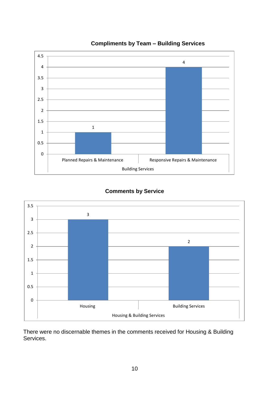

#### **Compliments by Team – Building Services**

# **Comments by Service**



There were no discernable themes in the comments received for Housing & Building Services.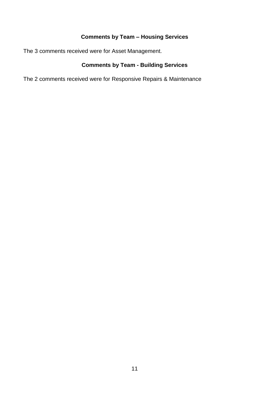# **Comments by Team – Housing Services**

The 3 comments received were for Asset Management.

# **Comments by Team - Building Services**

The 2 comments received were for Responsive Repairs & Maintenance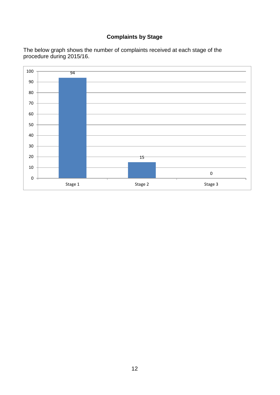# **Complaints by Stage**

The below graph shows the number of complaints received at each stage of the procedure during 2015/16.

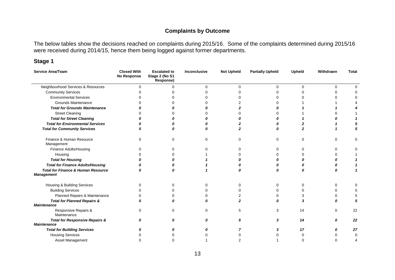#### **Complaints by Outcome**

The below tables show the decisions reached on complaints during 2015/16. Some of the complaints determined during 2015/16 were received during 2014/15, hence them being logged against former departments.

#### **Stage 1**

| <b>Service Area/Team</b>                                           | <b>Closed With</b><br><b>No Response</b> | <b>Escalated to</b><br>Stage 2 (No S1<br>Response) | Inconclusive | <b>Not Upheld</b> | <b>Partially Upheld</b> | Upheld   | Withdrawn | <b>Total</b> |
|--------------------------------------------------------------------|------------------------------------------|----------------------------------------------------|--------------|-------------------|-------------------------|----------|-----------|--------------|
| Neighbourhood Services & Resources                                 |                                          | $\Omega$                                           | $\Omega$     | 0                 | $\Omega$                | $\Omega$ | $\Omega$  |              |
| <b>Community Services</b>                                          |                                          |                                                    |              | ሰ                 |                         |          | ∩         | ∩            |
| <b>Environmental Services</b>                                      |                                          |                                                    |              |                   |                         |          |           |              |
| Grounds Maintenance                                                |                                          |                                                    |              |                   |                         |          |           |              |
| <b>Total for Grounds Maintenance</b>                               |                                          |                                                    |              |                   |                         |          |           |              |
| <b>Street Cleaning</b>                                             |                                          |                                                    |              |                   |                         |          |           |              |
| <b>Total for Street Cleaning</b>                                   |                                          |                                                    |              |                   |                         |          |           |              |
| <b>Total for Environmental Services</b>                            |                                          |                                                    | Ω            |                   |                         |          |           |              |
| <b>Total for Community Services</b>                                |                                          |                                                    | n            | 2                 |                         |          |           | 5            |
| Finance & Human Resource<br>Management                             | $\Omega$                                 | $\Omega$                                           | $\Omega$     | $\Omega$          | $\Omega$                | $\Omega$ | $\Omega$  | $\Omega$     |
| Finance Adults/Housing                                             |                                          |                                                    | ი            | 0                 | 0                       | 0        | 0         |              |
| Housing                                                            |                                          |                                                    |              | 0                 |                         | O        | 0         |              |
| <b>Total for Housing</b>                                           |                                          |                                                    |              |                   |                         |          |           |              |
| <b>Total for Finance Adults/Housing</b>                            |                                          |                                                    |              |                   |                         |          |           |              |
| <b>Total for Finance &amp; Human Resource</b><br><b>Management</b> | Ω                                        |                                                    |              | Λ                 |                         |          |           |              |
| Housing & Building Services                                        |                                          |                                                    | O            | 0                 | 0                       | U        | $\Omega$  |              |
| <b>Building Services</b>                                           |                                          |                                                    |              | ∩                 | $\Omega$                |          | $\Omega$  |              |
| Planned Repairs & Maintenance                                      |                                          |                                                    |              |                   | O                       |          | 0         |              |
| <b>Total for Planned Repairs &amp;</b><br><b>Maintenance</b>       |                                          | Ω                                                  | 0            | 2                 | n                       |          |           | 5            |
| Responsive Repairs &<br>Maintenance                                |                                          | <sup>0</sup>                                       | $\Omega$     | 5                 | 3                       | 14       | $\Omega$  | 22           |
| <b>Total for Responsive Repairs &amp;</b>                          | n                                        | 0                                                  | 0            | 5                 | 3                       | 14       | 0         | 22           |
| <b>Maintenance</b>                                                 |                                          |                                                    |              |                   |                         |          |           |              |
| <b>Total for Building Services</b>                                 |                                          |                                                    |              |                   |                         | 17       | n         | 27           |
| <b>Housing Services</b>                                            |                                          |                                                    |              |                   |                         |          |           | 0            |
| <b>Asset Management</b>                                            |                                          |                                                    |              |                   |                         |          | ∩         |              |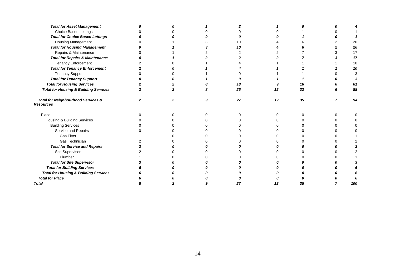| <b>Total for Asset Management</b>                                 |  |   |    |    |    |     |
|-------------------------------------------------------------------|--|---|----|----|----|-----|
| Choice Based Lettings                                             |  |   |    |    |    |     |
| <b>Total for Choice Based Lettings</b>                            |  |   |    |    |    |     |
| Housing Management                                                |  |   | 10 |    |    | 26  |
| <b>Total for Housing Management</b>                               |  |   | 10 |    |    | 26  |
| Repairs & Maintenance                                             |  |   |    |    |    | 17  |
| <b>Total for Repairs &amp; Maintenance</b>                        |  |   |    |    |    | 17  |
| <b>Tenancy Enforcement</b>                                        |  |   |    |    |    | 10  |
| <b>Total for Tenancy Enforcement</b>                              |  |   |    |    |    | 10  |
| <b>Tenancy Support</b>                                            |  |   |    |    |    |     |
| <b>Total for Tenancy Support</b>                                  |  |   |    |    |    |     |
| <b>Total for Housing Services</b>                                 |  |   | 18 |    | 16 | 61  |
| <b>Total for Housing &amp; Building Services</b>                  |  |   | 25 | 12 | 33 | 88  |
| <b>Total for Neighbourhood Services &amp;</b><br><b>Resources</b> |  | 9 | 27 | 12 | 35 | 94  |
| Place                                                             |  |   |    |    |    |     |
| Housing & Building Services                                       |  |   |    |    |    |     |
| <b>Building Services</b>                                          |  |   |    |    |    |     |
| Service and Repairs                                               |  |   |    |    |    |     |
| <b>Gas Fitter</b>                                                 |  |   |    |    |    |     |
| Gas Technician                                                    |  |   |    |    |    |     |
| <b>Total for Service and Repairs</b>                              |  |   |    |    |    |     |
| Site Supervisor                                                   |  |   |    |    |    |     |
| Plumber                                                           |  |   |    |    |    |     |
| <b>Total for Site Supervisor</b>                                  |  |   |    |    |    |     |
| <b>Total for Building Services</b>                                |  |   |    |    |    |     |
| <b>Total for Housing &amp; Building Services</b>                  |  |   |    |    |    |     |
| <b>Total for Place</b>                                            |  |   |    |    |    |     |
| <b>Total</b>                                                      |  |   | 27 | 12 | 35 | 100 |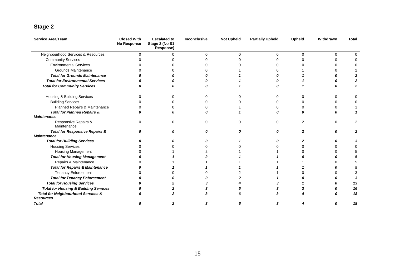# **Stage 2**

| <b>Service Area/Team</b>                                          | <b>Closed With</b><br><b>No Response</b> | <b>Escalated to</b><br>Stage 2 (No S1<br>Response) | <b>Inconclusive</b> | <b>Not Upheld</b> | <b>Partially Upheld</b> | <b>Upheld</b> | Withdrawn | <b>Total</b> |
|-------------------------------------------------------------------|------------------------------------------|----------------------------------------------------|---------------------|-------------------|-------------------------|---------------|-----------|--------------|
| Neighbourhood Services & Resources                                | 0                                        | ∩                                                  | $\Omega$            | $\Omega$          | U                       | $\Omega$      | $\Omega$  |              |
| <b>Community Services</b>                                         |                                          |                                                    |                     |                   |                         |               | n         |              |
| <b>Environmental Services</b>                                     |                                          |                                                    |                     |                   |                         |               | U         |              |
| Grounds Maintenance                                               |                                          |                                                    |                     |                   |                         |               |           |              |
| <b>Total for Grounds Maintenance</b>                              |                                          |                                                    |                     |                   |                         |               |           |              |
| <b>Total for Environmental Services</b>                           |                                          |                                                    |                     |                   |                         |               |           |              |
| <b>Total for Community Services</b>                               |                                          |                                                    |                     |                   |                         |               |           |              |
| Housing & Building Services                                       |                                          | ∩                                                  |                     | n                 |                         |               | 0         |              |
| <b>Building Services</b>                                          |                                          |                                                    |                     |                   |                         |               | 0         |              |
| Planned Repairs & Maintenance                                     |                                          |                                                    |                     |                   |                         |               |           |              |
| <b>Total for Planned Repairs &amp;</b>                            |                                          |                                                    |                     |                   |                         |               |           |              |
| <b>Maintenance</b>                                                |                                          |                                                    |                     |                   |                         |               |           |              |
| Responsive Repairs &<br>Maintenance                               |                                          |                                                    |                     | U                 |                         |               | $\Omega$  |              |
| <b>Total for Responsive Repairs &amp;</b>                         |                                          |                                                    |                     |                   |                         |               | n         |              |
| <b>Maintenance</b>                                                |                                          |                                                    |                     |                   |                         |               |           |              |
| <b>Total for Building Services</b>                                |                                          |                                                    |                     |                   |                         |               |           |              |
| <b>Housing Services</b>                                           |                                          |                                                    |                     |                   |                         |               | U         |              |
| Housing Management                                                |                                          |                                                    |                     |                   |                         |               |           |              |
| <b>Total for Housing Management</b>                               |                                          |                                                    |                     |                   |                         |               |           |              |
| Repairs & Maintenance                                             |                                          |                                                    |                     |                   |                         |               |           |              |
| <b>Total for Repairs &amp; Maintenance</b>                        |                                          |                                                    |                     |                   |                         |               |           |              |
| <b>Tenancy Enforcement</b>                                        |                                          |                                                    |                     |                   |                         |               |           |              |
| <b>Total for Tenancy Enforcement</b>                              |                                          |                                                    |                     |                   |                         |               |           |              |
| <b>Total for Housing Services</b>                                 |                                          |                                                    |                     |                   |                         |               |           | 13           |
| <b>Total for Housing &amp; Building Services</b>                  |                                          |                                                    |                     |                   |                         |               |           | 16           |
| <b>Total for Neighbourhood Services &amp;</b><br><b>Resources</b> |                                          |                                                    |                     |                   |                         |               |           | 18           |
| <b>Total</b>                                                      |                                          |                                                    |                     |                   |                         |               |           | 18           |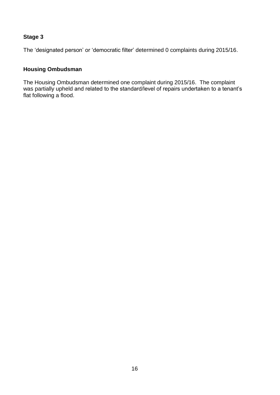#### **Stage 3**

The 'designated person' or 'democratic filter' determined 0 complaints during 2015/16.

#### **Housing Ombudsman**

The Housing Ombudsman determined one complaint during 2015/16. The complaint was partially upheld and related to the standard/level of repairs undertaken to a tenant's flat following a flood.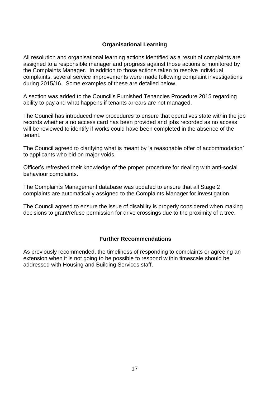### **Organisational Learning**

All resolution and organisational learning actions identified as a result of complaints are assigned to a responsible manager and progress against those actions is monitored by the Complaints Manager. In addition to those actions taken to resolve individual complaints, several service improvements were made following complaint investigations during 2015/16. Some examples of these are detailed below.

A section was added to the Council's Furnished Tenancies Procedure 2015 regarding ability to pay and what happens if tenants arrears are not managed.

The Council has introduced new procedures to ensure that operatives state within the job records whether a no access card has been provided and jobs recorded as no access will be reviewed to identify if works could have been completed in the absence of the tenant.

The Council agreed to clarifying what is meant by 'a reasonable offer of accommodation' to applicants who bid on major voids.

Officer's refreshed their knowledge of the proper procedure for dealing with anti-social behaviour complaints.

The Complaints Management database was updated to ensure that all Stage 2 complaints are automatically assigned to the Complaints Manager for investigation.

The Council agreed to ensure the issue of disability is properly considered when making decisions to grant/refuse permission for drive crossings due to the proximity of a tree.

#### **Further Recommendations**

As previously recommended, the timeliness of responding to complaints or agreeing an extension when it is not going to be possible to respond within timescale should be addressed with Housing and Building Services staff.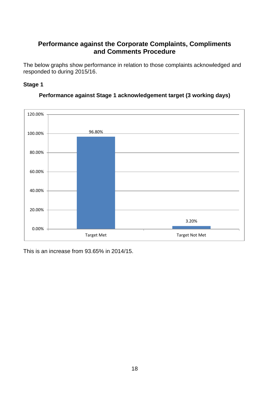# <span id="page-17-0"></span>**Performance against the Corporate Complaints, Compliments and Comments Procedure**

<span id="page-17-1"></span>The below graphs show performance in relation to those complaints acknowledged and responded to during 2015/16.

#### **Stage 1**



#### **Performance against Stage 1 acknowledgement target (3 working days)**

This is an increase from 93.65% in 2014/15.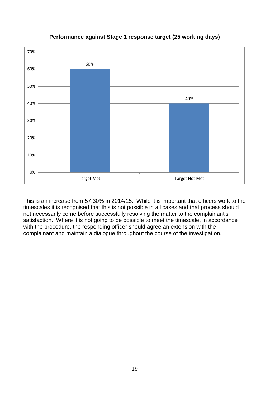

# **Performance against Stage 1 response target (25 working days)**

This is an increase from 57.30% in 2014/15. While it is important that officers work to the timescales it is recognised that this is not possible in all cases and that process should not necessarily come before successfully resolving the matter to the complainant's satisfaction. Where it is not going to be possible to meet the timescale, in accordance with the procedure, the responding officer should agree an extension with the complainant and maintain a dialogue throughout the course of the investigation.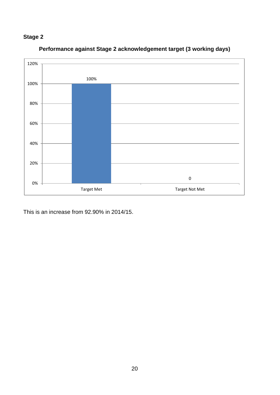# **Stage 2**



**Performance against Stage 2 acknowledgement target (3 working days)**

This is an increase from 92.90% in 2014/15.